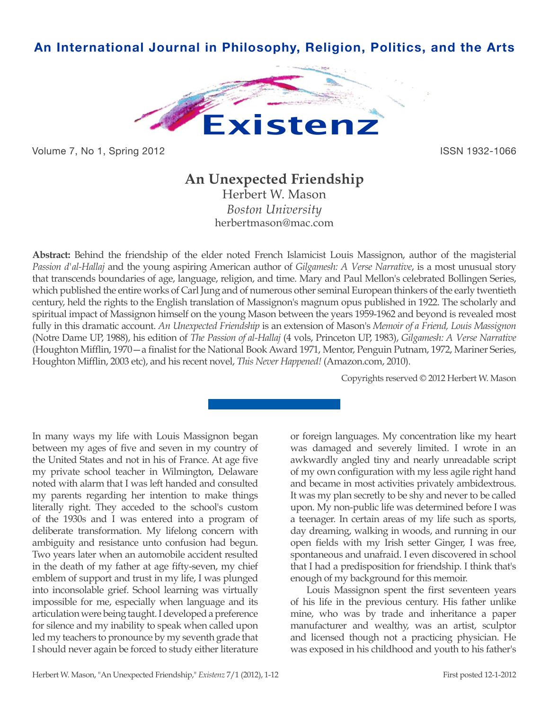

Volume 7, No 1, Spring 2012 **ISSN 1932-1066** 

## **An Unexpected Friendship**

Herbert W. Mason *Boston University* herbertmason@mac.com

**Abstract:** Behind the friendship of the elder noted French Islamicist Louis Massignon, author of the magisterial *Passion d'al-Hallaj* and the young aspiring American author of *Gilgamesh: A Verse Narrative*, is a most unusual story that transcends boundaries of age, language, religion, and time. Mary and Paul Mellon's celebrated Bollingen Series, which published the entire works of Carl Jung and of numerous other seminal European thinkers of the early twentieth century, held the rights to the English translation of Massignon's magnum opus published in 1922. The scholarly and spiritual impact of Massignon himself on the young Mason between the years 1959-1962 and beyond is revealed most fully in this dramatic account. *An Unexpected Friendship* is an extension of Mason's *Memoir of a Friend, Louis Massignon*  (Notre Dame UP, 1988), his edition of *The Passion of al-Hallaj* (4 vols, Princeton UP, 1983), *Gilgamesh: A Verse Narrative*  (Houghton Mifflin, 1970—a finalist for the National Book Award 1971, Mentor, Penguin Putnam, 1972, Mariner Series, Houghton Mifflin, 2003 etc), and his recent novel, *This Never Happened!* (Amazon.com, 2010).

Copyrights reserved © 2012 Herbert W. Mason

In many ways my life with Louis Massignon began between my ages of five and seven in my country of the United States and not in his of France. At age five my private school teacher in Wilmington, Delaware noted with alarm that I was left handed and consulted my parents regarding her intention to make things literally right. They acceded to the school's custom of the 1930s and I was entered into a program of deliberate transformation. My lifelong concern with ambiguity and resistance unto confusion had begun. Two years later when an automobile accident resulted in the death of my father at age fifty-seven, my chief emblem of support and trust in my life, I was plunged into inconsolable grief. School learning was virtually impossible for me, especially when language and its articulation were being taught. I developed a preference for silence and my inability to speak when called upon led my teachers to pronounce by my seventh grade that I should never again be forced to study either literature

or foreign languages. My concentration like my heart was damaged and severely limited. I wrote in an awkwardly angled tiny and nearly unreadable script of my own configuration with my less agile right hand and became in most activities privately ambidextrous. It was my plan secretly to be shy and never to be called upon. My non-public life was determined before I was a teenager. In certain areas of my life such as sports, day dreaming, walking in woods, and running in our open fields with my Irish setter Ginger, I was free, spontaneous and unafraid. I even discovered in school that I had a predisposition for friendship. I think that's enough of my background for this memoir.

Louis Massignon spent the first seventeen years of his life in the previous century. His father unlike mine, who was by trade and inheritance a paper manufacturer and wealthy, was an artist, sculptor and licensed though not a practicing physician. He was exposed in his childhood and youth to his father's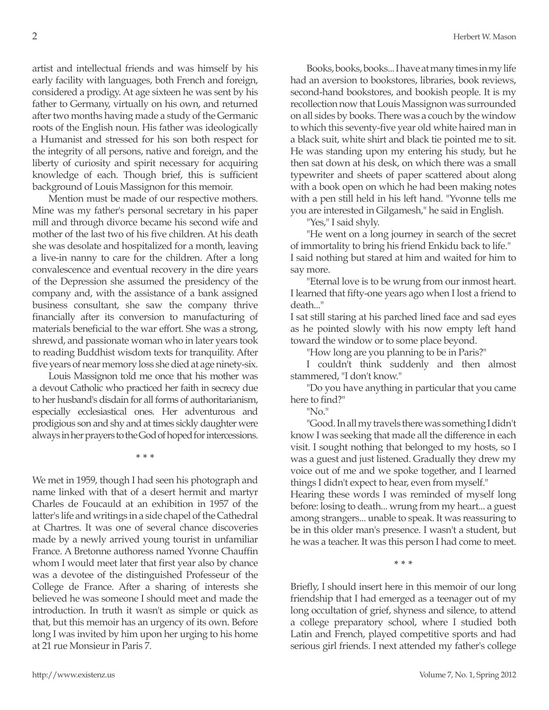artist and intellectual friends and was himself by his early facility with languages, both French and foreign, considered a prodigy. At age sixteen he was sent by his father to Germany, virtually on his own, and returned after two months having made a study of the Germanic roots of the English noun. His father was ideologically a Humanist and stressed for his son both respect for the integrity of all persons, native and foreign, and the liberty of curiosity and spirit necessary for acquiring knowledge of each. Though brief, this is sufficient background of Louis Massignon for this memoir.

Mention must be made of our respective mothers. Mine was my father's personal secretary in his paper mill and through divorce became his second wife and mother of the last two of his five children. At his death she was desolate and hospitalized for a month, leaving a live-in nanny to care for the children. After a long convalescence and eventual recovery in the dire years of the Depression she assumed the presidency of the company and, with the assistance of a bank assigned business consultant, she saw the company thrive financially after its conversion to manufacturing of materials beneficial to the war effort. She was a strong, shrewd, and passionate woman who in later years took to reading Buddhist wisdom texts for tranquility. After five years of near memory loss she died at age ninety-six.

Louis Massignon told me once that his mother was a devout Catholic who practiced her faith in secrecy due to her husband's disdain for all forms of authoritarianism, especially ecclesiastical ones. Her adventurous and prodigious son and shy and at times sickly daughter were always in her prayers to the God of hoped for intercessions.

**\* \* \***

We met in 1959, though I had seen his photograph and name linked with that of a desert hermit and martyr Charles de Foucauld at an exhibition in 1957 of the latter's life and writings in a side chapel of the Cathedral at Chartres. It was one of several chance discoveries made by a newly arrived young tourist in unfamiliar France. A Bretonne authoress named Yvonne Chauffin whom I would meet later that first year also by chance was a devotee of the distinguished Professeur of the College de France. After a sharing of interests she believed he was someone I should meet and made the introduction. In truth it wasn't as simple or quick as that, but this memoir has an urgency of its own. Before long I was invited by him upon her urging to his home at 21 rue Monsieur in Paris 7.

Books, books, books... I have at many times in my life had an aversion to bookstores, libraries, book reviews, second-hand bookstores, and bookish people. It is my recollection now that Louis Massignon was surrounded on all sides by books. There was a couch by the window to which this seventy-five year old white haired man in a black suit, white shirt and black tie pointed me to sit. He was standing upon my entering his study, but he then sat down at his desk, on which there was a small typewriter and sheets of paper scattered about along with a book open on which he had been making notes with a pen still held in his left hand. "Yvonne tells me you are interested in Gilgamesh," he said in English.

"Yes," I said shyly.

"He went on a long journey in search of the secret of immortality to bring his friend Enkidu back to life." I said nothing but stared at him and waited for him to say more.

"Eternal love is to be wrung from our inmost heart. I learned that fifty-one years ago when I lost a friend to death..."

I sat still staring at his parched lined face and sad eyes as he pointed slowly with his now empty left hand toward the window or to some place beyond.

"How long are you planning to be in Paris?"

I couldn't think suddenly and then almost stammered, "I don't know."

"Do you have anything in particular that you came here to find?"

"No."

"Good. In all my travels there was something I didn't know I was seeking that made all the difference in each visit. I sought nothing that belonged to my hosts, so I was a guest and just listened. Gradually they drew my voice out of me and we spoke together, and I learned things I didn't expect to hear, even from myself."

Hearing these words I was reminded of myself long before: losing to death... wrung from my heart... a guest among strangers... unable to speak. It was reassuring to be in this older man's presence. I wasn't a student, but he was a teacher. It was this person I had come to meet.

**\* \* \***

Briefly, I should insert here in this memoir of our long friendship that I had emerged as a teenager out of my long occultation of grief, shyness and silence, to attend a college preparatory school, where I studied both Latin and French, played competitive sports and had serious girl friends. I next attended my father's college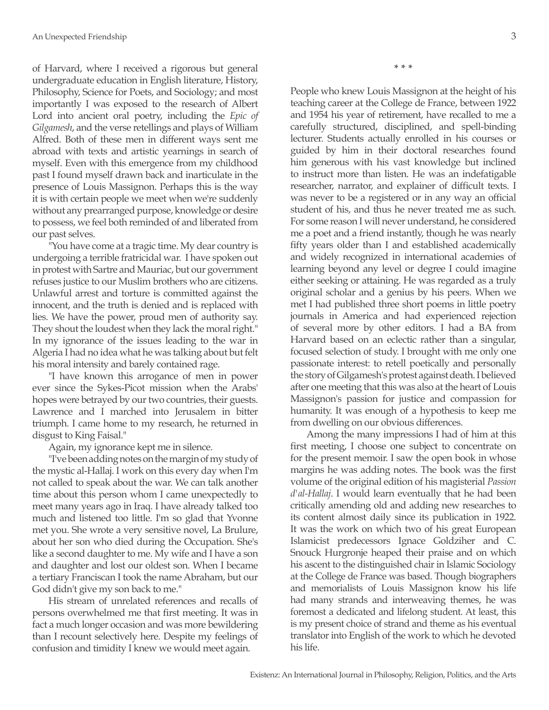of Harvard, where I received a rigorous but general undergraduate education in English literature, History, Philosophy, Science for Poets, and Sociology; and most importantly I was exposed to the research of Albert Lord into ancient oral poetry, including the *Epic of Gilgamesh*, and the verse retellings and plays of William Alfred. Both of these men in different ways sent me abroad with texts and artistic yearnings in search of myself. Even with this emergence from my childhood past I found myself drawn back and inarticulate in the presence of Louis Massignon. Perhaps this is the way it is with certain people we meet when we're suddenly without any prearranged purpose, knowledge or desire to possess, we feel both reminded of and liberated from our past selves.

"You have come at a tragic time. My dear country is undergoing a terrible fratricidal war. I have spoken out in protest with Sartre and Mauriac, but our government refuses justice to our Muslim brothers who are citizens. Unlawful arrest and torture is committed against the innocent, and the truth is denied and is replaced with lies. We have the power, proud men of authority say. They shout the loudest when they lack the moral right." In my ignorance of the issues leading to the war in Algeria I had no idea what he was talking about but felt his moral intensity and barely contained rage.

"I have known this arrogance of men in power ever since the Sykes-Picot mission when the Arabs' hopes were betrayed by our two countries, their guests. Lawrence and I marched into Jerusalem in bitter triumph. I came home to my research, he returned in disgust to King Faisal."

Again, my ignorance kept me in silence.

"I've been adding notes on the margin of my study of the mystic al-Hallaj. I work on this every day when I'm not called to speak about the war. We can talk another time about this person whom I came unexpectedly to meet many years ago in Iraq. I have already talked too much and listened too little. I'm so glad that Yvonne met you. She wrote a very sensitive novel, La Brulure, about her son who died during the Occupation. She's like a second daughter to me. My wife and I have a son and daughter and lost our oldest son. When I became a tertiary Franciscan I took the name Abraham, but our God didn't give my son back to me."

His stream of unrelated references and recalls of persons overwhelmed me that first meeting. It was in fact a much longer occasion and was more bewildering than I recount selectively here. Despite my feelings of confusion and timidity I knew we would meet again.

**\* \* \***

People who knew Louis Massignon at the height of his teaching career at the College de France, between 1922 and 1954 his year of retirement, have recalled to me a carefully structured, disciplined, and spell-binding lecturer. Students actually enrolled in his courses or guided by him in their doctoral researches found him generous with his vast knowledge but inclined to instruct more than listen. He was an indefatigable researcher, narrator, and explainer of difficult texts. I was never to be a registered or in any way an official student of his, and thus he never treated me as such. For some reason I will never understand, he considered me a poet and a friend instantly, though he was nearly fifty years older than I and established academically and widely recognized in international academies of learning beyond any level or degree I could imagine either seeking or attaining. He was regarded as a truly original scholar and a genius by his peers. When we met I had published three short poems in little poetry journals in America and had experienced rejection of several more by other editors. I had a BA from Harvard based on an eclectic rather than a singular, focused selection of study. I brought with me only one passionate interest: to retell poetically and personally the story of Gilgamesh's protest against death. I believed after one meeting that this was also at the heart of Louis Massignon's passion for justice and compassion for humanity. It was enough of a hypothesis to keep me from dwelling on our obvious differences.

Among the many impressions I had of him at this first meeting, I choose one subject to concentrate on for the present memoir. I saw the open book in whose margins he was adding notes. The book was the first volume of the original edition of his magisterial *Passion d'al-Hallaj*. I would learn eventually that he had been critically amending old and adding new researches to its content almost daily since its publication in 1922. It was the work on which two of his great European Islamicist predecessors Ignace Goldziher and C. Snouck Hurgronje heaped their praise and on which his ascent to the distinguished chair in Islamic Sociology at the College de France was based. Though biographers and memorialists of Louis Massignon know his life had many strands and interweaving themes, he was foremost a dedicated and lifelong student. At least, this is my present choice of strand and theme as his eventual translator into English of the work to which he devoted his life.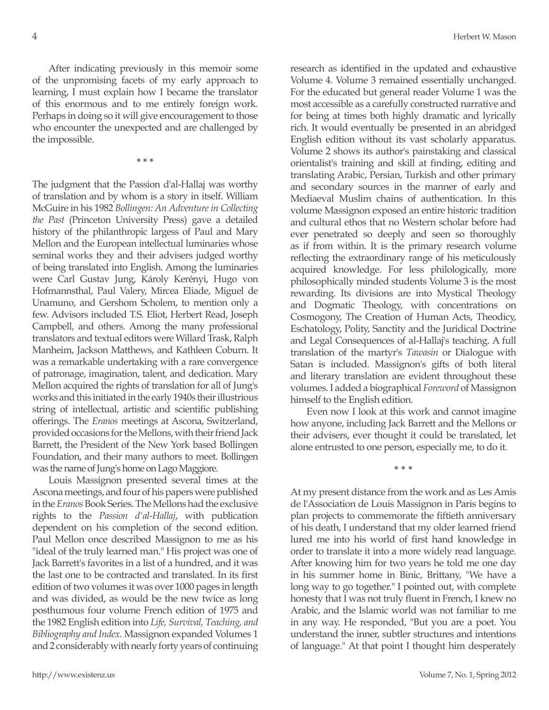After indicating previously in this memoir some of the unpromising facets of my early approach to learning, I must explain how I became the translator of this enormous and to me entirely foreign work. Perhaps in doing so it will give encouragement to those who encounter the unexpected and are challenged by the impossible.

**\* \* \***

The judgment that the Passion d'al-Hallaj was worthy of translation and by whom is a story in itself. William McGuire in his 1982 *Bollingen: An Adventure in Collecting the Past* (Princeton University Press) gave a detailed history of the philanthropic largess of Paul and Mary Mellon and the European intellectual luminaries whose seminal works they and their advisers judged worthy of being translated into English. Among the luminaries were Carl Gustav Jung, Károly Kerényi, Hugo von Hofmannsthal, Paul Valery, Mircea Eliade, Miguel de Unamuno, and Gershom Scholem, to mention only a few. Advisors included T.S. Eliot, Herbert Read, Joseph Campbell, and others. Among the many professional translators and textual editors were Willard Trask, Ralph Manheim, Jackson Matthews, and Kathleen Coburn. It was a remarkable undertaking with a rare convergence of patronage, imagination, talent, and dedication. Mary Mellon acquired the rights of translation for all of Jung's works and this initiated in the early 1940s their illustrious string of intellectual, artistic and scientific publishing offerings. The *Eranos* meetings at Ascona, Switzerland, provided occasions for the Mellons, with their friend Jack Barrett, the President of the New York based Bollingen Foundation, and their many authors to meet. Bollingen was the name of Jung's home on Lago Maggiore.

Louis Massignon presented several times at the Ascona meetings, and four of his papers were published in the *Eranos* Book Series. The Mellons had the exclusive rights to the *Passion d'al-Hallaj*, with publication dependent on his completion of the second edition. Paul Mellon once described Massignon to me as his "ideal of the truly learned man." His project was one of Jack Barrett's favorites in a list of a hundred, and it was the last one to be contracted and translated. In its first edition of two volumes it was over 1000 pages in length and was divided, as would be the new twice as long posthumous four volume French edition of 1975 and the 1982 English edition into *Life, Survival, Teaching, and Bibliography and Index*. Massignon expanded Volumes 1 and 2 considerably with nearly forty years of continuing research as identified in the updated and exhaustive Volume 4. Volume 3 remained essentially unchanged. For the educated but general reader Volume 1 was the most accessible as a carefully constructed narrative and for being at times both highly dramatic and lyrically rich. It would eventually be presented in an abridged English edition without its vast scholarly apparatus. Volume 2 shows its author's painstaking and classical orientalist's training and skill at finding, editing and translating Arabic, Persian, Turkish and other primary and secondary sources in the manner of early and Mediaeval Muslim chains of authentication. In this volume Massignon exposed an entire historic tradition and cultural ethos that no Western scholar before had ever penetrated so deeply and seen so thoroughly as if from within. It is the primary research volume reflecting the extraordinary range of his meticulously acquired knowledge. For less philologically, more philosophically minded students Volume 3 is the most rewarding. Its divisions are into Mystical Theology and Dogmatic Theology, with concentrations on Cosmogony, The Creation of Human Acts, Theodicy, Eschatology, Polity, Sanctity and the Juridical Doctrine and Legal Consequences of al-Hallaj's teaching. A full translation of the martyr's *Tawasin* or Dialogue with Satan is included. Massignon's gifts of both literal and literary translation are evident throughout these volumes. I added a biographical *Foreword* of Massignon himself to the English edition.

Even now I look at this work and cannot imagine how anyone, including Jack Barrett and the Mellons or their advisers, ever thought it could be translated, let alone entrusted to one person, especially me, to do it.

**\* \* \***

At my present distance from the work and as Les Amis de l'Association de Louis Massignon in Paris begins to plan projects to commemorate the fiftieth anniversary of his death, I understand that my older learned friend lured me into his world of first hand knowledge in order to translate it into a more widely read language. After knowing him for two years he told me one day in his summer home in Binic, Brittany, "We have a long way to go together." I pointed out, with complete honesty that I was not truly fluent in French, I knew no Arabic, and the Islamic world was not familiar to me in any way. He responded, "But you are a poet. You understand the inner, subtler structures and intentions of language." At that point I thought him desperately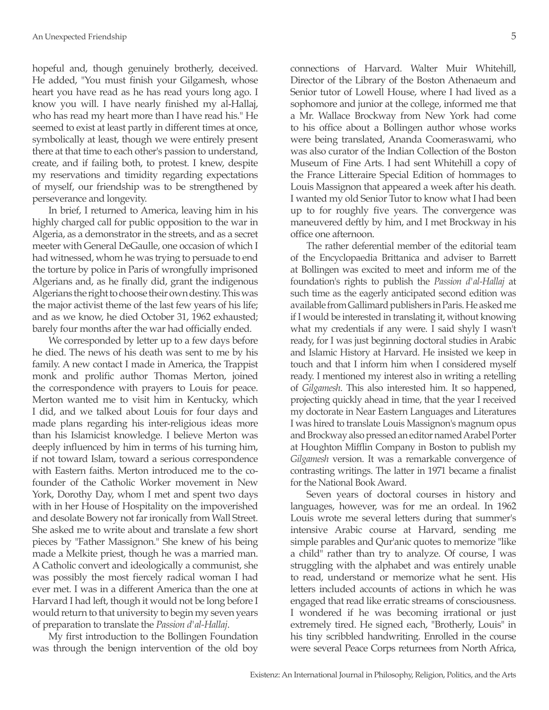hopeful and, though genuinely brotherly, deceived. He added, "You must finish your Gilgamesh, whose heart you have read as he has read yours long ago. I know you will. I have nearly finished my al-Hallaj, who has read my heart more than I have read his." He seemed to exist at least partly in different times at once, symbolically at least, though we were entirely present there at that time to each other's passion to understand, create, and if failing both, to protest. I knew, despite my reservations and timidity regarding expectations of myself, our friendship was to be strengthened by perseverance and longevity.

In brief, I returned to America, leaving him in his highly charged call for public opposition to the war in Algeria, as a demonstrator in the streets, and as a secret meeter with General DeGaulle, one occasion of which I had witnessed, whom he was trying to persuade to end the torture by police in Paris of wrongfully imprisoned Algerians and, as he finally did, grant the indigenous Algerians the right to choose their own destiny. This was the major activist theme of the last few years of his life; and as we know, he died October 31, 1962 exhausted; barely four months after the war had officially ended.

We corresponded by letter up to a few days before he died. The news of his death was sent to me by his family. A new contact I made in America, the Trappist monk and prolific author Thomas Merton, joined the correspondence with prayers to Louis for peace. Merton wanted me to visit him in Kentucky, which I did, and we talked about Louis for four days and made plans regarding his inter-religious ideas more than his Islamicist knowledge. I believe Merton was deeply influenced by him in terms of his turning him, if not toward Islam, toward a serious correspondence with Eastern faiths. Merton introduced me to the cofounder of the Catholic Worker movement in New York, Dorothy Day, whom I met and spent two days with in her House of Hospitality on the impoverished and desolate Bowery not far ironically from Wall Street. She asked me to write about and translate a few short pieces by "Father Massignon." She knew of his being made a Melkite priest, though he was a married man. A Catholic convert and ideologically a communist, she was possibly the most fiercely radical woman I had ever met. I was in a different America than the one at Harvard I had left, though it would not be long before I would return to that university to begin my seven years of preparation to translate the *Passion d'al-Hallaj*.

My first introduction to the Bollingen Foundation was through the benign intervention of the old boy connections of Harvard. Walter Muir Whitehill, Director of the Library of the Boston Athenaeum and Senior tutor of Lowell House, where I had lived as a sophomore and junior at the college, informed me that a Mr. Wallace Brockway from New York had come to his office about a Bollingen author whose works were being translated, Ananda Coomeraswami, who was also curator of the Indian Collection of the Boston Museum of Fine Arts. I had sent Whitehill a copy of the France Litteraire Special Edition of hommages to Louis Massignon that appeared a week after his death. I wanted my old Senior Tutor to know what I had been up to for roughly five years. The convergence was maneuvered deftly by him, and I met Brockway in his office one afternoon.

The rather deferential member of the editorial team of the Encyclopaedia Brittanica and adviser to Barrett at Bollingen was excited to meet and inform me of the foundation's rights to publish the *Passion d'al-Hallaj* at such time as the eagerly anticipated second edition was available from Gallimard publishers in Paris. He asked me if I would be interested in translating it, without knowing what my credentials if any were. I said shyly I wasn't ready, for I was just beginning doctoral studies in Arabic and Islamic History at Harvard. He insisted we keep in touch and that I inform him when I considered myself ready. I mentioned my interest also in writing a retelling of *Gilgamesh*. This also interested him. It so happened, projecting quickly ahead in time, that the year I received my doctorate in Near Eastern Languages and Literatures I was hired to translate Louis Massignon's magnum opus and Brockway also pressed an editor named Arabel Porter at Houghton Mifflin Company in Boston to publish my *Gilgamesh* version. It was a remarkable convergence of contrasting writings. The latter in 1971 became a finalist for the National Book Award.

Seven years of doctoral courses in history and languages, however, was for me an ordeal. In 1962 Louis wrote me several letters during that summer's intensive Arabic course at Harvard, sending me simple parables and Qur'anic quotes to memorize "like a child" rather than try to analyze. Of course, I was struggling with the alphabet and was entirely unable to read, understand or memorize what he sent. His letters included accounts of actions in which he was engaged that read like erratic streams of consciousness. I wondered if he was becoming irrational or just extremely tired. He signed each, "Brotherly, Louis" in his tiny scribbled handwriting. Enrolled in the course were several Peace Corps returnees from North Africa,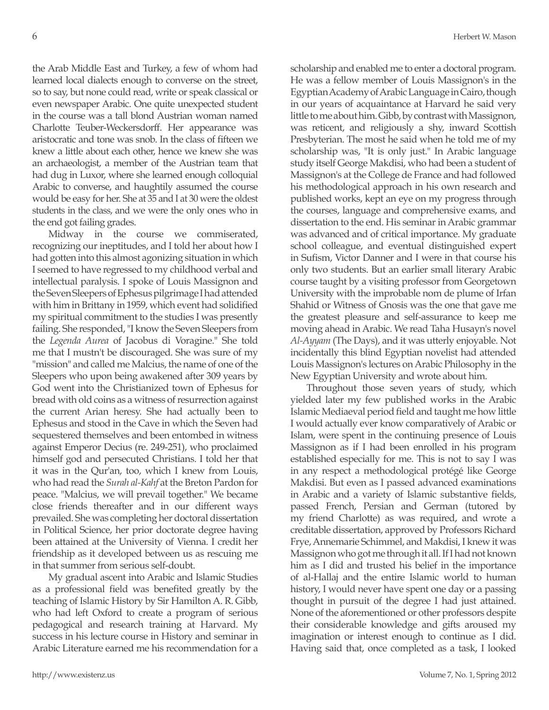the Arab Middle East and Turkey, a few of whom had learned local dialects enough to converse on the street, so to say, but none could read, write or speak classical or even newspaper Arabic. One quite unexpected student in the course was a tall blond Austrian woman named Charlotte Teuber-Weckersdorff. Her appearance was aristocratic and tone was snob. In the class of fifteen we knew a little about each other, hence we knew she was an archaeologist, a member of the Austrian team that had dug in Luxor, where she learned enough colloquial Arabic to converse, and haughtily assumed the course would be easy for her. She at 35 and I at 30 were the oldest students in the class, and we were the only ones who in the end got failing grades.

Midway in the course we commiserated, recognizing our ineptitudes, and I told her about how I had gotten into this almost agonizing situation in which I seemed to have regressed to my childhood verbal and intellectual paralysis. I spoke of Louis Massignon and the Seven Sleepers of Ephesus pilgrimage I had attended with him in Brittany in 1959, which event had solidified my spiritual commitment to the studies I was presently failing. She responded, "I know the Seven Sleepers from the *Legenda Aurea* of Jacobus di Voragine." She told me that I mustn't be discouraged. She was sure of my "mission" and called me Malcius, the name of one of the Sleepers who upon being awakened after 309 years by God went into the Christianized town of Ephesus for bread with old coins as a witness of resurrection against the current Arian heresy. She had actually been to Ephesus and stood in the Cave in which the Seven had sequestered themselves and been entombed in witness against Emperor Decius (re. 249-251), who proclaimed himself god and persecuted Christians. I told her that it was in the Qur'an, too, which I knew from Louis, who had read the *Surah al-Kahf* at the Breton Pardon for peace. "Malcius, we will prevail together." We became close friends thereafter and in our different ways prevailed. She was completing her doctoral dissertation in Political Science, her prior doctorate degree having been attained at the University of Vienna. I credit her friendship as it developed between us as rescuing me in that summer from serious self-doubt.

My gradual ascent into Arabic and Islamic Studies as a professional field was benefited greatly by the teaching of Islamic History by Sir Hamilton A. R. Gibb, who had left Oxford to create a program of serious pedagogical and research training at Harvard. My success in his lecture course in History and seminar in Arabic Literature earned me his recommendation for a scholarship and enabled me to enter a doctoral program. He was a fellow member of Louis Massignon's in the Egyptian Academy of Arabic Language in Cairo, though in our years of acquaintance at Harvard he said very little to me about him. Gibb, by contrast with Massignon, was reticent, and religiously a shy, inward Scottish Presbyterian. The most he said when he told me of my scholarship was, "It is only just." In Arabic language study itself George Makdisi, who had been a student of Massignon's at the College de France and had followed his methodological approach in his own research and published works, kept an eye on my progress through the courses, language and comprehensive exams, and dissertation to the end. His seminar in Arabic grammar was advanced and of critical importance. My graduate school colleague, and eventual distinguished expert in Sufism, Victor Danner and I were in that course his only two students. But an earlier small literary Arabic course taught by a visiting professor from Georgetown University with the improbable nom de plume of Irfan Shahid or Witness of Gnosis was the one that gave me the greatest pleasure and self-assurance to keep me moving ahead in Arabic. We read Taha Husayn's novel *Al-Ayyam* (The Days), and it was utterly enjoyable. Not incidentally this blind Egyptian novelist had attended Louis Massignon's lectures on Arabic Philosophy in the New Egyptian University and wrote about him.

Throughout those seven years of study, which yielded later my few published works in the Arabic Islamic Mediaeval period field and taught me how little I would actually ever know comparatively of Arabic or Islam, were spent in the continuing presence of Louis Massignon as if I had been enrolled in his program established especially for me. This is not to say I was in any respect a methodological protégé like George Makdisi. But even as I passed advanced examinations in Arabic and a variety of Islamic substantive fields, passed French, Persian and German (tutored by my friend Charlotte) as was required, and wrote a creditable dissertation, approved by Professors Richard Frye, Annemarie Schimmel, and Makdisi, I knew it was Massignon who got me through it all. If I had not known him as I did and trusted his belief in the importance of al-Hallaj and the entire Islamic world to human history, I would never have spent one day or a passing thought in pursuit of the degree I had just attained. None of the aforementioned or other professors despite their considerable knowledge and gifts aroused my imagination or interest enough to continue as I did. Having said that, once completed as a task, I looked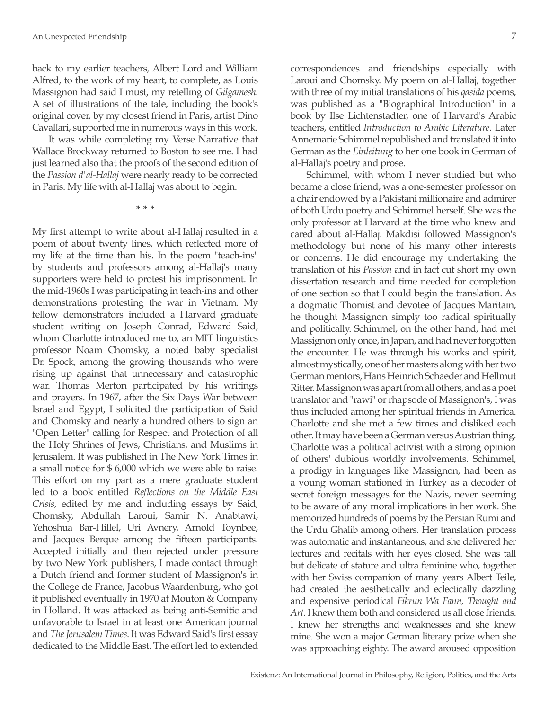back to my earlier teachers, Albert Lord and William Alfred, to the work of my heart, to complete, as Louis Massignon had said I must, my retelling of *Gilgamesh*. A set of illustrations of the tale, including the book's original cover, by my closest friend in Paris, artist Dino Cavallari, supported me in numerous ways in this work.

It was while completing my Verse Narrative that Wallace Brockway returned to Boston to see me. I had just learned also that the proofs of the second edition of the *Passion d'al-Hallaj* were nearly ready to be corrected in Paris. My life with al-Hallaj was about to begin.

**\* \* \***

My first attempt to write about al-Hallaj resulted in a poem of about twenty lines, which reflected more of my life at the time than his. In the poem "teach-ins" by students and professors among al-Hallaj's many supporters were held to protest his imprisonment. In the mid-1960s I was participating in teach-ins and other demonstrations protesting the war in Vietnam. My fellow demonstrators included a Harvard graduate student writing on Joseph Conrad, Edward Said, whom Charlotte introduced me to, an MIT linguistics professor Noam Chomsky, a noted baby specialist Dr. Spock, among the growing thousands who were rising up against that unnecessary and catastrophic war. Thomas Merton participated by his writings and prayers. In 1967, after the Six Days War between Israel and Egypt, I solicited the participation of Said and Chomsky and nearly a hundred others to sign an "Open Letter" calling for Respect and Protection of all the Holy Shrines of Jews, Christians, and Muslims in Jerusalem. It was published in The New York Times in a small notice for \$ 6,000 which we were able to raise. This effort on my part as a mere graduate student led to a book entitled *Reflections on the Middle East Crisis*, edited by me and including essays by Said, Chomsky, Abdullah Laroui, Samir N. Anabtawi, Yehoshua Bar-Hillel, Uri Avnery, Arnold Toynbee, and Jacques Berque among the fifteen participants. Accepted initially and then rejected under pressure by two New York publishers, I made contact through a Dutch friend and former student of Massignon's in the College de France, Jacobus Waardenburg, who got it published eventually in 1970 at Mouton & Company in Holland. It was attacked as being anti-Semitic and unfavorable to Israel in at least one American journal and *The Jerusalem Times*. It was Edward Said's first essay dedicated to the Middle East. The effort led to extended

correspondences and friendships especially with Laroui and Chomsky. My poem on al-Hallaj, together with three of my initial translations of his *qasida* poems, was published as a "Biographical Introduction" in a book by Ilse Lichtenstadter, one of Harvard's Arabic teachers, entitled *Introduction to Arabic Literature*. Later Annemarie Schimmel republished and translated it into German as the *Einleitung* to her one book in German of al-Hallaj's poetry and prose.

Schimmel, with whom I never studied but who became a close friend, was a one-semester professor on a chair endowed by a Pakistani millionaire and admirer of both Urdu poetry and Schimmel herself. She was the only professor at Harvard at the time who knew and cared about al-Hallaj. Makdisi followed Massignon's methodology but none of his many other interests or concerns. He did encourage my undertaking the translation of his *Passion* and in fact cut short my own dissertation research and time needed for completion of one section so that I could begin the translation. As a dogmatic Thomist and devotee of Jacques Maritain, he thought Massignon simply too radical spiritually and politically. Schimmel, on the other hand, had met Massignon only once, in Japan, and had never forgotten the encounter. He was through his works and spirit, almost mystically, one of her masters along with her two German mentors, Hans Heinrich Schaeder and Hellmut Ritter. Massignon was apart from all others, and as a poet translator and "rawi" or rhapsode of Massignon's, I was thus included among her spiritual friends in America. Charlotte and she met a few times and disliked each other. It may have been a German versus Austrian thing. Charlotte was a political activist with a strong opinion of others' dubious worldly involvements. Schimmel, a prodigy in languages like Massignon, had been as a young woman stationed in Turkey as a decoder of secret foreign messages for the Nazis, never seeming to be aware of any moral implications in her work. She memorized hundreds of poems by the Persian Rumi and the Urdu Ghalib among others. Her translation process was automatic and instantaneous, and she delivered her lectures and recitals with her eyes closed. She was tall but delicate of stature and ultra feminine who, together with her Swiss companion of many years Albert Teile, had created the aesthetically and eclectically dazzling and expensive periodical *Fikrun Wa Fann, Thought and Art*. I knew them both and considered us all close friends. I knew her strengths and weaknesses and she knew mine. She won a major German literary prize when she was approaching eighty. The award aroused opposition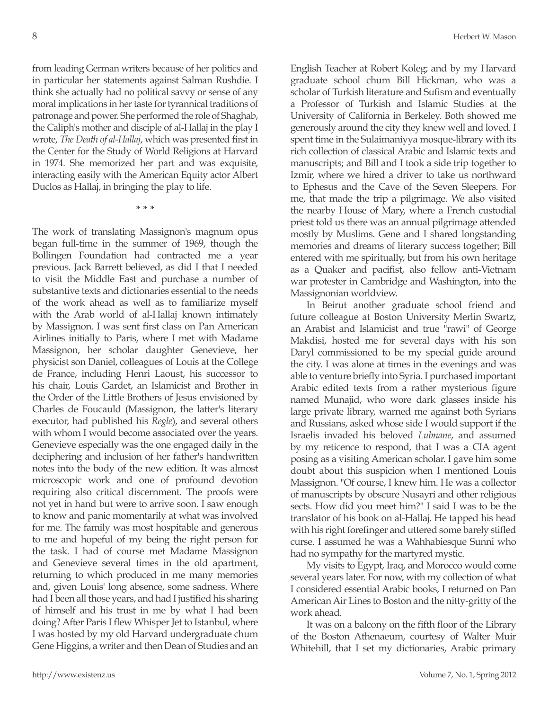from leading German writers because of her politics and in particular her statements against Salman Rushdie. I think she actually had no political savvy or sense of any moral implications in her taste for tyrannical traditions of patronage and power. She performed the role of Shaghab, the Caliph's mother and disciple of al-Hallaj in the play I wrote, *The Death of al-Hallaj*, which was presented first in the Center for the Study of World Religions at Harvard in 1974. She memorized her part and was exquisite, interacting easily with the American Equity actor Albert Duclos as Hallaj, in bringing the play to life.

**\* \* \***

The work of translating Massignon's magnum opus began full-time in the summer of 1969, though the Bollingen Foundation had contracted me a year previous. Jack Barrett believed, as did I that I needed to visit the Middle East and purchase a number of substantive texts and dictionaries essential to the needs of the work ahead as well as to familiarize myself with the Arab world of al-Hallaj known intimately by Massignon. I was sent first class on Pan American Airlines initially to Paris, where I met with Madame Massignon, her scholar daughter Genevieve, her physicist son Daniel, colleagues of Louis at the College de France, including Henri Laoust, his successor to his chair, Louis Gardet, an Islamicist and Brother in the Order of the Little Brothers of Jesus envisioned by Charles de Foucauld (Massignon, the latter's literary executor, had published his *Regle*), and several others with whom I would become associated over the years. Genevieve especially was the one engaged daily in the deciphering and inclusion of her father's handwritten notes into the body of the new edition. It was almost microscopic work and one of profound devotion requiring also critical discernment. The proofs were not yet in hand but were to arrive soon. I saw enough to know and panic momentarily at what was involved for me. The family was most hospitable and generous to me and hopeful of my being the right person for the task. I had of course met Madame Massignon and Genevieve several times in the old apartment, returning to which produced in me many memories and, given Louis' long absence, some sadness. Where had I been all those years, and had I justified his sharing of himself and his trust in me by what I had been doing? After Paris I flew Whisper Jet to Istanbul, where I was hosted by my old Harvard undergraduate chum Gene Higgins, a writer and then Dean of Studies and an

English Teacher at Robert Koleg; and by my Harvard graduate school chum Bill Hickman, who was a scholar of Turkish literature and Sufism and eventually a Professor of Turkish and Islamic Studies at the University of California in Berkeley. Both showed me generously around the city they knew well and loved. I spent time in the Sulaimaniyya mosque-library with its rich collection of classical Arabic and Islamic texts and manuscripts; and Bill and I took a side trip together to Izmir, where we hired a driver to take us northward to Ephesus and the Cave of the Seven Sleepers. For me, that made the trip a pilgrimage. We also visited the nearby House of Mary, where a French custodial priest told us there was an annual pilgrimage attended mostly by Muslims. Gene and I shared longstanding memories and dreams of literary success together; Bill entered with me spiritually, but from his own heritage as a Quaker and pacifist, also fellow anti-Vietnam war protester in Cambridge and Washington, into the Massignonian worldview.

In Beirut another graduate school friend and future colleague at Boston University Merlin Swartz, an Arabist and Islamicist and true "rawi" of George Makdisi, hosted me for several days with his son Daryl commissioned to be my special guide around the city. I was alone at times in the evenings and was able to venture briefly into Syria. I purchased important Arabic edited texts from a rather mysterious figure named Munajid, who wore dark glasses inside his large private library, warned me against both Syrians and Russians, asked whose side I would support if the Israelis invaded his beloved *Lubnane*, and assumed by my reticence to respond, that I was a CIA agent posing as a visiting American scholar. I gave him some doubt about this suspicion when I mentioned Louis Massignon. "Of course, I knew him. He was a collector of manuscripts by obscure Nusayri and other religious sects. How did you meet him?" I said I was to be the translator of his book on al-Hallaj. He tapped his head with his right forefinger and uttered some barely stifled curse. I assumed he was a Wahhabiesque Sunni who had no sympathy for the martyred mystic.

My visits to Egypt, Iraq, and Morocco would come several years later. For now, with my collection of what I considered essential Arabic books, I returned on Pan American Air Lines to Boston and the nitty-gritty of the work ahead.

It was on a balcony on the fifth floor of the Library of the Boston Athenaeum, courtesy of Walter Muir Whitehill, that I set my dictionaries, Arabic primary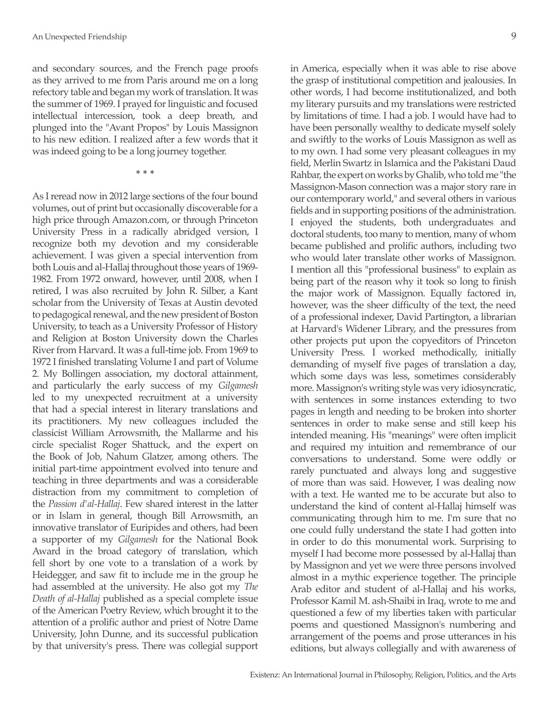and secondary sources, and the French page proofs as they arrived to me from Paris around me on a long refectory table and began my work of translation. It was the summer of 1969. I prayed for linguistic and focused intellectual intercession, took a deep breath, and plunged into the "Avant Propos" by Louis Massignon to his new edition. I realized after a few words that it was indeed going to be a long journey together.

**\* \* \***

As I reread now in 2012 large sections of the four bound volumes, out of print but occasionally discoverable for a high price through Amazon.com, or through Princeton University Press in a radically abridged version, I recognize both my devotion and my considerable achievement. I was given a special intervention from both Louis and al-Hallaj throughout those years of 1969- 1982. From 1972 onward, however, until 2008, when I retired, I was also recruited by John R. Silber, a Kant scholar from the University of Texas at Austin devoted to pedagogical renewal, and the new president of Boston University, to teach as a University Professor of History and Religion at Boston University down the Charles River from Harvard. It was a full-time job. From 1969 to 1972 I finished translating Volume I and part of Volume 2. My Bollingen association, my doctoral attainment, and particularly the early success of my *Gilgamesh* led to my unexpected recruitment at a university that had a special interest in literary translations and its practitioners. My new colleagues included the classicist William Arrowsmith, the Mallarme and his circle specialist Roger Shattuck, and the expert on the Book of Job, Nahum Glatzer, among others. The initial part-time appointment evolved into tenure and teaching in three departments and was a considerable distraction from my commitment to completion of the *Passion d'al-Hallaj*. Few shared interest in the latter or in Islam in general, though Bill Arrowsmith, an innovative translator of Euripides and others, had been a supporter of my *Gilgamesh* for the National Book Award in the broad category of translation, which fell short by one vote to a translation of a work by Heidegger, and saw fit to include me in the group he had assembled at the university. He also got my *The Death of al-Hallaj* published as a special complete issue of the American Poetry Review, which brought it to the attention of a prolific author and priest of Notre Dame University, John Dunne, and its successful publication by that university's press. There was collegial support

in America, especially when it was able to rise above the grasp of institutional competition and jealousies. In other words, I had become institutionalized, and both my literary pursuits and my translations were restricted by limitations of time. I had a job. I would have had to have been personally wealthy to dedicate myself solely and swiftly to the works of Louis Massignon as well as to my own. I had some very pleasant colleagues in my field, Merlin Swartz in Islamica and the Pakistani Daud Rahbar, the expert on works by Ghalib, who told me "the Massignon-Mason connection was a major story rare in our contemporary world," and several others in various fields and in supporting positions of the administration. I enjoyed the students, both undergraduates and doctoral students, too many to mention, many of whom became published and prolific authors, including two who would later translate other works of Massignon. I mention all this "professional business" to explain as being part of the reason why it took so long to finish the major work of Massignon. Equally factored in, however, was the sheer difficulty of the text, the need of a professional indexer, David Partington, a librarian at Harvard's Widener Library, and the pressures from other projects put upon the copyeditors of Princeton University Press. I worked methodically, initially demanding of myself five pages of translation a day, which some days was less, sometimes considerably more. Massignon's writing style was very idiosyncratic, with sentences in some instances extending to two pages in length and needing to be broken into shorter sentences in order to make sense and still keep his intended meaning. His "meanings" were often implicit and required my intuition and remembrance of our conversations to understand. Some were oddly or rarely punctuated and always long and suggestive of more than was said. However, I was dealing now with a text. He wanted me to be accurate but also to understand the kind of content al-Hallaj himself was communicating through him to me. I'm sure that no one could fully understand the state I had gotten into in order to do this monumental work. Surprising to myself I had become more possessed by al-Hallaj than by Massignon and yet we were three persons involved almost in a mythic experience together. The principle Arab editor and student of al-Hallaj and his works, Professor Kamil M. ash-Shaibi in Iraq, wrote to me and questioned a few of my liberties taken with particular poems and questioned Massignon's numbering and arrangement of the poems and prose utterances in his editions, but always collegially and with awareness of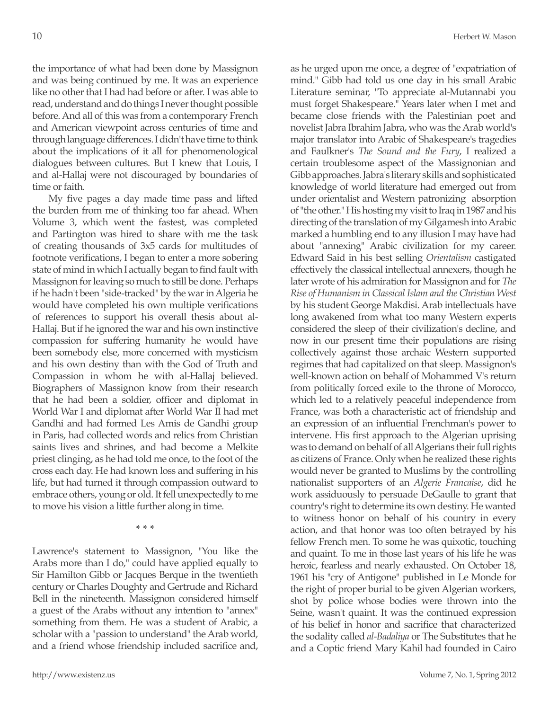the importance of what had been done by Massignon and was being continued by me. It was an experience like no other that I had had before or after. I was able to read, understand and do things I never thought possible before. And all of this was from a contemporary French and American viewpoint across centuries of time and through language differences. I didn't have time to think about the implications of it all for phenomenological dialogues between cultures. But I knew that Louis, I and al-Hallaj were not discouraged by boundaries of time or faith.

My five pages a day made time pass and lifted the burden from me of thinking too far ahead. When Volume 3, which went the fastest, was completed and Partington was hired to share with me the task of creating thousands of 3x5 cards for multitudes of footnote verifications, I began to enter a more sobering state of mind in which I actually began to find fault with Massignon for leaving so much to still be done. Perhaps if he hadn't been "side-tracked" by the war in Algeria he would have completed his own multiple verifications of references to support his overall thesis about al-Hallaj. But if he ignored the war and his own instinctive compassion for suffering humanity he would have been somebody else, more concerned with mysticism and his own destiny than with the God of Truth and Compassion in whom he with al-Hallaj believed. Biographers of Massignon know from their research that he had been a soldier, officer and diplomat in World War I and diplomat after World War II had met Gandhi and had formed Les Amis de Gandhi group in Paris, had collected words and relics from Christian saints lives and shrines, and had become a Melkite priest clinging, as he had told me once, to the foot of the cross each day. He had known loss and suffering in his life, but had turned it through compassion outward to embrace others, young or old. It fell unexpectedly to me to move his vision a little further along in time.

**\* \* \***

Lawrence's statement to Massignon, "You like the Arabs more than I do," could have applied equally to Sir Hamilton Gibb or Jacques Berque in the twentieth century or Charles Doughty and Gertrude and Richard Bell in the nineteenth. Massignon considered himself a guest of the Arabs without any intention to "annex" something from them. He was a student of Arabic, a scholar with a "passion to understand" the Arab world, and a friend whose friendship included sacrifice and, as he urged upon me once, a degree of "expatriation of mind." Gibb had told us one day in his small Arabic Literature seminar, "To appreciate al-Mutannabi you must forget Shakespeare." Years later when I met and became close friends with the Palestinian poet and novelist Jabra Ibrahim Jabra, who was the Arab world's major translator into Arabic of Shakespeare's tragedies and Faulkner's *The Sound and the Fury*, I realized a certain troublesome aspect of the Massignonian and Gibb approaches. Jabra's literary skills and sophisticated knowledge of world literature had emerged out from under orientalist and Western patronizing absorption of "the other." His hosting my visit to Iraq in 1987 and his directing of the translation of my Gilgamesh into Arabic marked a humbling end to any illusion I may have had about "annexing" Arabic civilization for my career. Edward Said in his best selling *Orientalism* castigated effectively the classical intellectual annexers, though he later wrote of his admiration for Massignon and for *The Rise of Humanism in Classical Islam and the Christian West* by his student George Makdisi. Arab intellectuals have long awakened from what too many Western experts considered the sleep of their civilization's decline, and now in our present time their populations are rising collectively against those archaic Western supported regimes that had capitalized on that sleep. Massignon's well-known action on behalf of Mohammed V's return from politically forced exile to the throne of Morocco, which led to a relatively peaceful independence from France, was both a characteristic act of friendship and an expression of an influential Frenchman's power to intervene. His first approach to the Algerian uprising was to demand on behalf of all Algerians their full rights as citizens of France. Only when he realized these rights would never be granted to Muslims by the controlling nationalist supporters of an *Algerie Francaise*, did he work assiduously to persuade DeGaulle to grant that country's right to determine its own destiny. He wanted to witness honor on behalf of his country in every action, and that honor was too often betrayed by his fellow French men. To some he was quixotic, touching and quaint. To me in those last years of his life he was heroic, fearless and nearly exhausted. On October 18, 1961 his "cry of Antigone" published in Le Monde for the right of proper burial to be given Algerian workers, shot by police whose bodies were thrown into the Seine, wasn't quaint. It was the continued expression of his belief in honor and sacrifice that characterized the sodality called *al-Badaliya* or The Substitutes that he and a Coptic friend Mary Kahil had founded in Cairo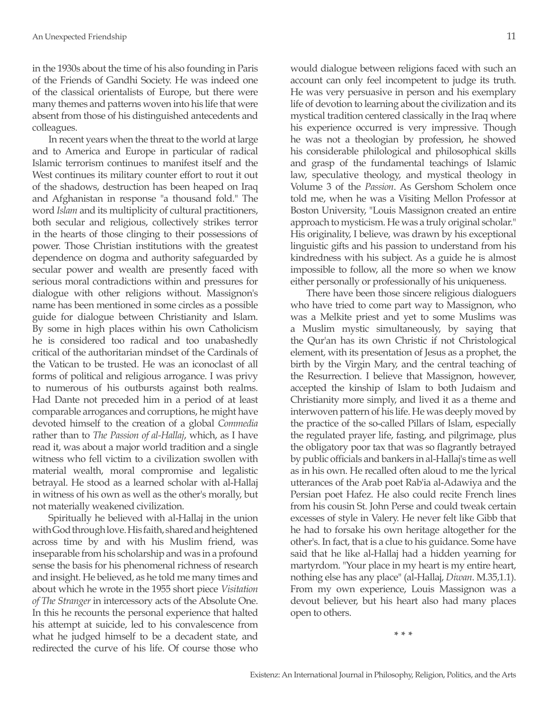in the 1930s about the time of his also founding in Paris of the Friends of Gandhi Society. He was indeed one of the classical orientalists of Europe, but there were many themes and patterns woven into his life that were absent from those of his distinguished antecedents and colleagues.

In recent years when the threat to the world at large and to America and Europe in particular of radical Islamic terrorism continues to manifest itself and the West continues its military counter effort to rout it out of the shadows, destruction has been heaped on Iraq and Afghanistan in response "a thousand fold." The word *Islam* and its multiplicity of cultural practitioners, both secular and religious, collectively strikes terror in the hearts of those clinging to their possessions of power. Those Christian institutions with the greatest dependence on dogma and authority safeguarded by secular power and wealth are presently faced with serious moral contradictions within and pressures for dialogue with other religions without. Massignon's name has been mentioned in some circles as a possible guide for dialogue between Christianity and Islam. By some in high places within his own Catholicism he is considered too radical and too unabashedly critical of the authoritarian mindset of the Cardinals of the Vatican to be trusted. He was an iconoclast of all forms of political and religious arrogance. I was privy to numerous of his outbursts against both realms. Had Dante not preceded him in a period of at least comparable arrogances and corruptions, he might have devoted himself to the creation of a global *Commedia* rather than to *The Passion of al-Hallaj*, which, as I have read it, was about a major world tradition and a single witness who fell victim to a civilization swollen with material wealth, moral compromise and legalistic betrayal. He stood as a learned scholar with al-Hallaj in witness of his own as well as the other's morally, but not materially weakened civilization.

Spiritually he believed with al-Hallaj in the union with God through love. His faith, shared and heightened across time by and with his Muslim friend, was inseparable from his scholarship and was in a profound sense the basis for his phenomenal richness of research and insight. He believed, as he told me many times and about which he wrote in the 1955 short piece *Visitation of The Stranger* in intercessory acts of the Absolute One. In this he recounts the personal experience that halted his attempt at suicide, led to his convalescence from what he judged himself to be a decadent state, and redirected the curve of his life. Of course those who

would dialogue between religions faced with such an account can only feel incompetent to judge its truth. He was very persuasive in person and his exemplary life of devotion to learning about the civilization and its mystical tradition centered classically in the Iraq where his experience occurred is very impressive. Though he was not a theologian by profession, he showed his considerable philological and philosophical skills and grasp of the fundamental teachings of Islamic law, speculative theology, and mystical theology in Volume 3 of the *Passion*. As Gershom Scholem once told me, when he was a Visiting Mellon Professor at Boston University, "Louis Massignon created an entire approach to mysticism. He was a truly original scholar." His originality, I believe, was drawn by his exceptional linguistic gifts and his passion to understand from his kindredness with his subject. As a guide he is almost impossible to follow, all the more so when we know either personally or professionally of his uniqueness.

There have been those sincere religious dialoguers who have tried to come part way to Massignon, who was a Melkite priest and yet to some Muslims was a Muslim mystic simultaneously, by saying that the Qur'an has its own Christic if not Christological element, with its presentation of Jesus as a prophet, the birth by the Virgin Mary, and the central teaching of the Resurrection. I believe that Massignon, however, accepted the kinship of Islam to both Judaism and Christianity more simply, and lived it as a theme and interwoven pattern of his life. He was deeply moved by the practice of the so-called Pillars of Islam, especially the regulated prayer life, fasting, and pilgrimage, plus the obligatory poor tax that was so flagrantly betrayed by public officials and bankers in al-Hallaj's time as well as in his own. He recalled often aloud to me the lyrical utterances of the Arab poet Rab'ia al-Adawiya and the Persian poet Hafez. He also could recite French lines from his cousin St. John Perse and could tweak certain excesses of style in Valery. He never felt like Gibb that he had to forsake his own heritage altogether for the other's. In fact, that is a clue to his guidance. Some have said that he like al-Hallaj had a hidden yearning for martyrdom. "Your place in my heart is my entire heart, nothing else has any place" (al-Hallaj, *Diwan*. M.35,1.1). From my own experience, Louis Massignon was a devout believer, but his heart also had many places open to others.

**\* \* \***